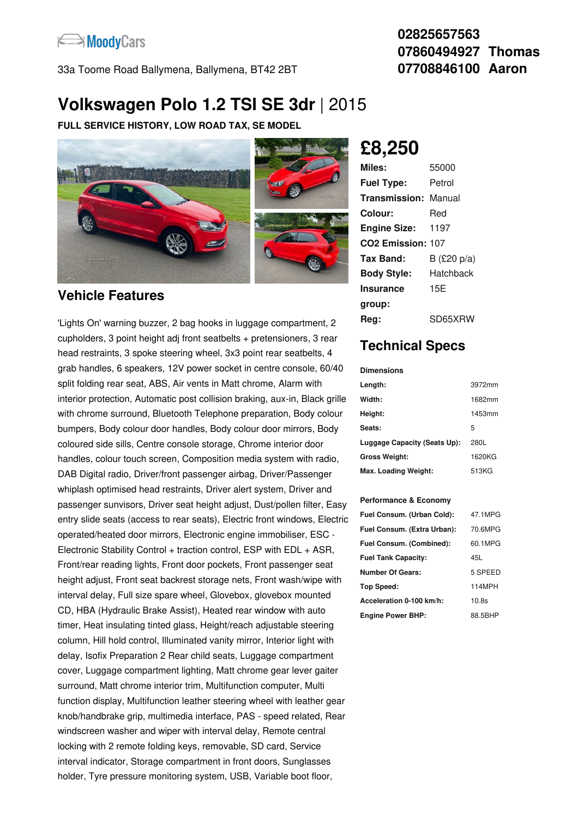

33a Toome Road Ballymena, Ballymena, BT42 2BT

### **02825657563 07860494927 Thomas 07708846100 Aaron**

# **Volkswagen Polo 1.2 TSI SE 3dr** |2015

**FULL SERVICE HISTORY, LOW ROAD TAX, SE MODEL**



### **Vehicle Features**

'Lights On' warning buzzer, 2 bag hooks in luggage compartment, 2 cupholders, 3 point height adj front seatbelts + pretensioners, 3 rear head restraints, 3 spoke steering wheel, 3x3 point rear seatbelts, 4 grab handles, 6 speakers, 12V power socket in centre console, 60/40 split folding rear seat, ABS, Air vents in Matt chrome, Alarm with interior protection, Automatic post collision braking, aux-in, Black grille with chrome surround, Bluetooth Telephone preparation, Body colour bumpers, Body colour door handles, Body colour door mirrors, Body coloured side sills, Centre console storage, Chrome interior door handles, colour touch screen, Composition media system with radio, DAB Digital radio, Driver/front passenger airbag, Driver/Passenger whiplash optimised head restraints, Driver alert system, Driver and passenger sunvisors, Driver seat height adjust, Dust/pollen filter, Easy entry slide seats (access to rear seats), Electric front windows, Electric operated/heated door mirrors, Electronic engine immobiliser, ESC - Electronic Stability Control + traction control, ESP with EDL + ASR, Front/rear reading lights, Front door pockets, Front passenger seat height adjust, Front seat backrest storage nets, Front wash/wipe with interval delay, Full size spare wheel, Glovebox, glovebox mounted CD, HBA (Hydraulic Brake Assist), Heated rear window with auto timer, Heat insulating tinted glass, Height/reach adjustable steering column, Hill hold control, Illuminated vanity mirror, Interior light with delay, Isofix Preparation 2 Rear child seats, Luggage compartment cover, Luggage compartment lighting, Matt chrome gear lever gaiter surround, Matt chrome interior trim, Multifunction computer, Multi function display, Multifunction leather steering wheel with leather gear knob/handbrake grip, multimedia interface, PAS - speed related, Rear windscreen washer and wiper with interval delay, Remote central locking with 2 remote folding keys, removable, SD card, Service interval indicator, Storage compartment in front doors, Sunglasses holder, Tyre pressure monitoring system, USB, Variable boot floor,

**£8,250**

| Miles:               | 55000          |
|----------------------|----------------|
| <b>Fuel Type:</b>    | Petrol         |
| Transmission: Manual |                |
| Colour:              | Red            |
| <b>Engine Size:</b>  | -- 1197        |
| CO2 Emission: 107    |                |
| Tax Band:            | B (£20 $p/a$ ) |
| <b>Body Style:</b>   | Hatchback      |
| <b>Insurance</b>     | 15E            |
| group:               |                |
| Reg:                 | SD65XRW        |

## **Technical Specs**

#### **Dimensions**

| Length:                      | 3972mm |
|------------------------------|--------|
| Width:                       | 1682mm |
| Height:                      | 1453mm |
| Seats:                       | 5      |
| Luggage Capacity (Seats Up): | 280L   |
| <b>Gross Weight:</b>         | 1620KG |
| Max. Loading Weight:         | 513KG  |

#### **Performance & Economy**

| Fuel Consum. (Urban Cold):  | 47.1MPG |
|-----------------------------|---------|
| Fuel Consum. (Extra Urban): | 70.6MPG |
| Fuel Consum. (Combined):    | 60.1MPG |
| <b>Fuel Tank Capacity:</b>  | 45L     |
| <b>Number Of Gears:</b>     | 5 SPEED |
| Top Speed:                  | 114MPH  |
| Acceleration 0-100 km/h:    | 10.8s   |
| <b>Engine Power BHP:</b>    | 88.5BHP |